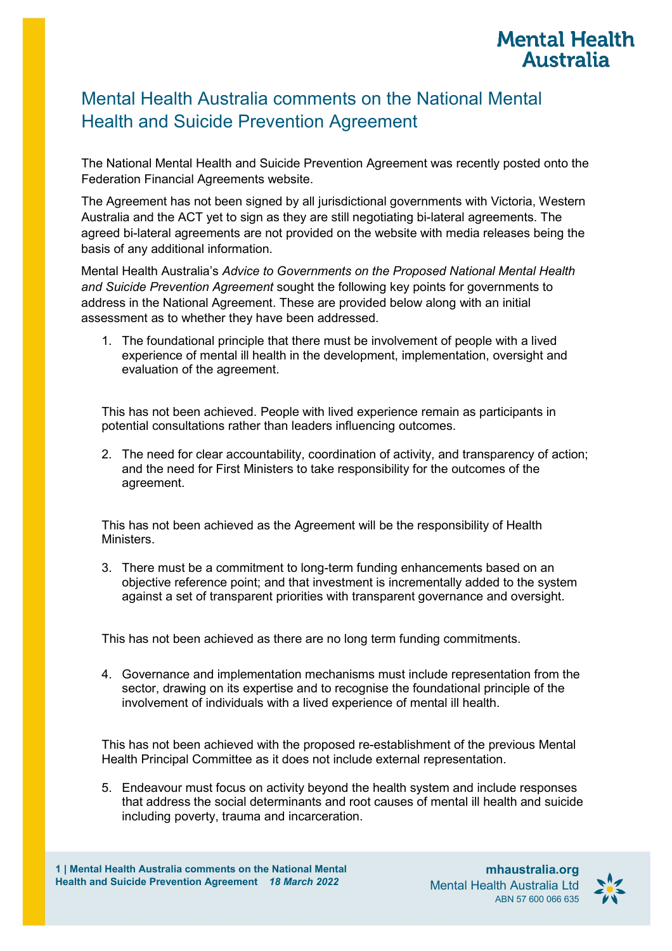# **Mental Health Australia**

# Mental Health Australia comments on the National Mental Health and Suicide Prevention Agreement

The National Mental Health and Suicide Prevention Agreement was recently posted onto the Federation Financial Agreements website.

The Agreement has not been signed by all jurisdictional governments with Victoria, Western Australia and the ACT yet to sign as they are still negotiating bi-lateral agreements. The agreed bi-lateral agreements are not provided on the website with media releases being the basis of any additional information.

Mental Health Australia's *Advice to Governments on the Proposed National Mental Health and Suicide Prevention Agreement* sought the following key points for governments to address in the National Agreement. These are provided below along with an initial assessment as to whether they have been addressed.

1. The foundational principle that there must be involvement of people with a lived experience of mental ill health in the development, implementation, oversight and evaluation of the agreement.

This has not been achieved. People with lived experience remain as participants in potential consultations rather than leaders influencing outcomes.

2. The need for clear accountability, coordination of activity, and transparency of action; and the need for First Ministers to take responsibility for the outcomes of the agreement.

This has not been achieved as the Agreement will be the responsibility of Health Ministers.

3. There must be a commitment to long-term funding enhancements based on an objective reference point; and that investment is incrementally added to the system against a set of transparent priorities with transparent governance and oversight.

This has not been achieved as there are no long term funding commitments.

4. Governance and implementation mechanisms must include representation from the sector, drawing on its expertise and to recognise the foundational principle of the involvement of individuals with a lived experience of mental ill health.

This has not been achieved with the proposed re-establishment of the previous Mental Health Principal Committee as it does not include external representation.

5. Endeavour must focus on activity beyond the health system and include responses that address the social determinants and root causes of mental ill health and suicide including poverty, trauma and incarceration.

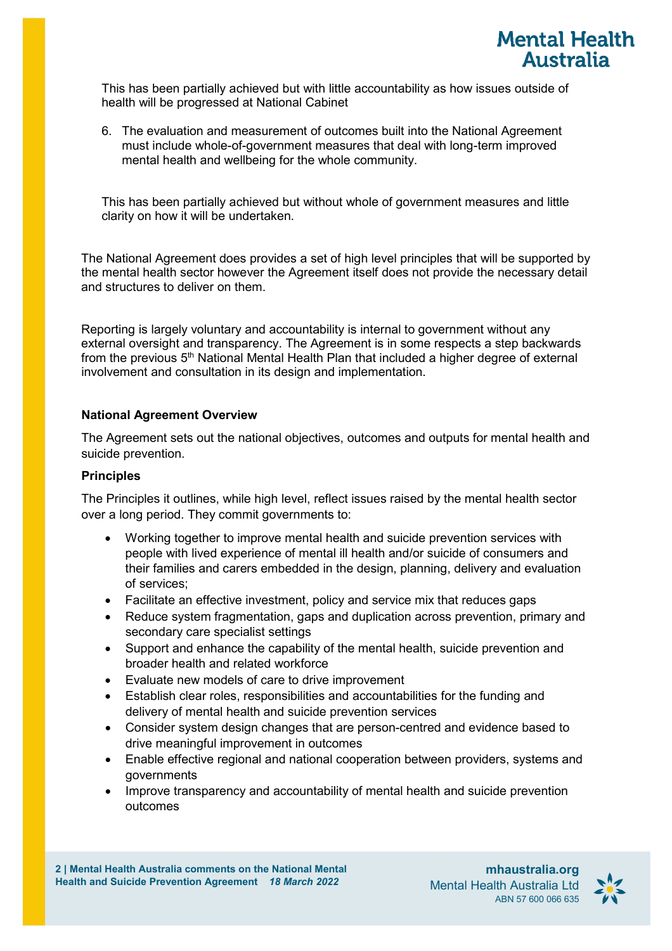

This has been partially achieved but with little accountability as how issues outside of health will be progressed at National Cabinet

6. The evaluation and measurement of outcomes built into the National Agreement must include whole-of-government measures that deal with long-term improved mental health and wellbeing for the whole community.

This has been partially achieved but without whole of government measures and little clarity on how it will be undertaken.

The National Agreement does provides a set of high level principles that will be supported by the mental health sector however the Agreement itself does not provide the necessary detail and structures to deliver on them.

Reporting is largely voluntary and accountability is internal to government without any external oversight and transparency. The Agreement is in some respects a step backwards from the previous 5<sup>th</sup> National Mental Health Plan that included a higher degree of external involvement and consultation in its design and implementation.

#### **National Agreement Overview**

The Agreement sets out the national objectives, outcomes and outputs for mental health and suicide prevention.

#### **Principles**

The Principles it outlines, while high level, reflect issues raised by the mental health sector over a long period. They commit governments to:

- Working together to improve mental health and suicide prevention services with people with lived experience of mental ill health and/or suicide of consumers and their families and carers embedded in the design, planning, delivery and evaluation of services;
- Facilitate an effective investment, policy and service mix that reduces gaps
- Reduce system fragmentation, gaps and duplication across prevention, primary and secondary care specialist settings
- Support and enhance the capability of the mental health, suicide prevention and broader health and related workforce
- Evaluate new models of care to drive improvement
- Establish clear roles, responsibilities and accountabilities for the funding and delivery of mental health and suicide prevention services
- Consider system design changes that are person-centred and evidence based to drive meaningful improvement in outcomes
- Enable effective regional and national cooperation between providers, systems and governments
- Improve transparency and accountability of mental health and suicide prevention outcomes

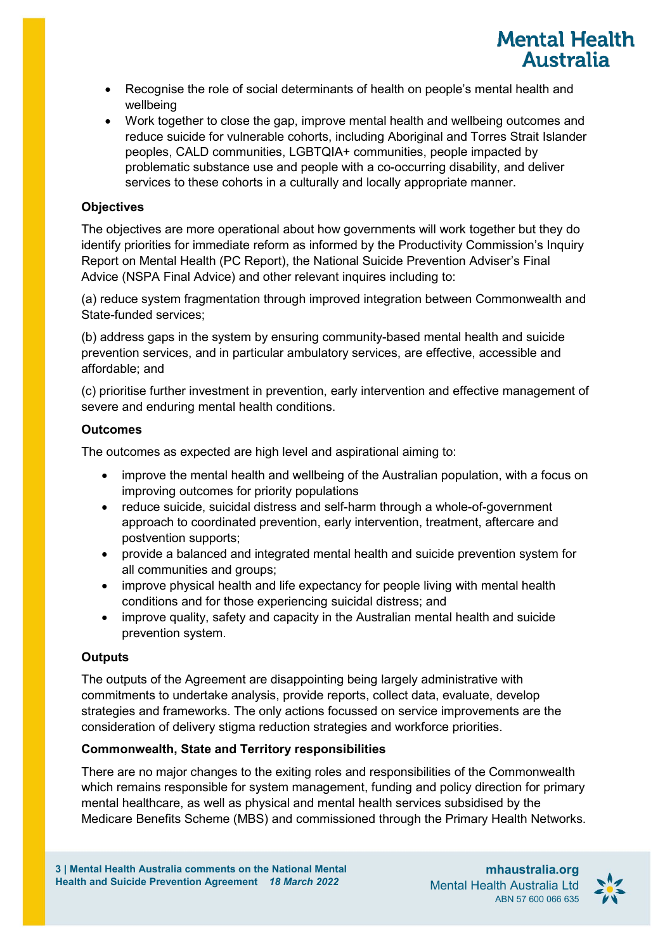- **Mental Health Australia**
- Recognise the role of social determinants of health on people's mental health and wellbeing
- Work together to close the gap, improve mental health and wellbeing outcomes and reduce suicide for vulnerable cohorts, including Aboriginal and Torres Strait Islander peoples, CALD communities, LGBTQIA+ communities, people impacted by problematic substance use and people with a co-occurring disability, and deliver services to these cohorts in a culturally and locally appropriate manner.

### **Objectives**

The objectives are more operational about how governments will work together but they do identify priorities for immediate reform as informed by the Productivity Commission's Inquiry Report on Mental Health (PC Report), the National Suicide Prevention Adviser's Final Advice (NSPA Final Advice) and other relevant inquires including to:

(a) reduce system fragmentation through improved integration between Commonwealth and State-funded services;

(b) address gaps in the system by ensuring community-based mental health and suicide prevention services, and in particular ambulatory services, are effective, accessible and affordable; and

(c) prioritise further investment in prevention, early intervention and effective management of severe and enduring mental health conditions.

## **Outcomes**

The outcomes as expected are high level and aspirational aiming to:

- improve the mental health and wellbeing of the Australian population, with a focus on improving outcomes for priority populations
- reduce suicide, suicidal distress and self-harm through a whole-of-government approach to coordinated prevention, early intervention, treatment, aftercare and postvention supports;
- provide a balanced and integrated mental health and suicide prevention system for all communities and groups;
- improve physical health and life expectancy for people living with mental health conditions and for those experiencing suicidal distress; and
- improve quality, safety and capacity in the Australian mental health and suicide prevention system.

# **Outputs**

The outputs of the Agreement are disappointing being largely administrative with commitments to undertake analysis, provide reports, collect data, evaluate, develop strategies and frameworks. The only actions focussed on service improvements are the consideration of delivery stigma reduction strategies and workforce priorities.

### **Commonwealth, State and Territory responsibilities**

There are no major changes to the exiting roles and responsibilities of the Commonwealth which remains responsible for system management, funding and policy direction for primary mental healthcare, as well as physical and mental health services subsidised by the Medicare Benefits Scheme (MBS) and commissioned through the Primary Health Networks.

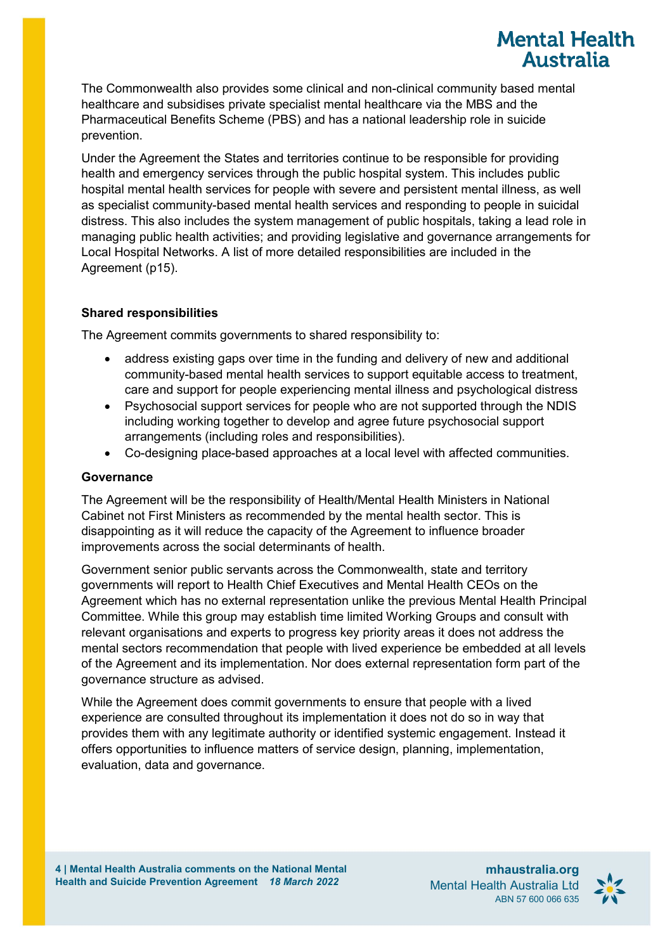The Commonwealth also provides some clinical and non-clinical community based mental healthcare and subsidises private specialist mental healthcare via the MBS and the Pharmaceutical Benefits Scheme (PBS) and has a national leadership role in suicide prevention.

Under the Agreement the States and territories continue to be responsible for providing health and emergency services through the public hospital system. This includes public hospital mental health services for people with severe and persistent mental illness, as well as specialist community-based mental health services and responding to people in suicidal distress. This also includes the system management of public hospitals, taking a lead role in managing public health activities; and providing legislative and governance arrangements for Local Hospital Networks. A list of more detailed responsibilities are included in the Agreement (p15).

### **Shared responsibilities**

The Agreement commits governments to shared responsibility to:

- address existing gaps over time in the funding and delivery of new and additional community-based mental health services to support equitable access to treatment, care and support for people experiencing mental illness and psychological distress
- Psychosocial support services for people who are not supported through the NDIS including working together to develop and agree future psychosocial support arrangements (including roles and responsibilities).
- Co-designing place-based approaches at a local level with affected communities.

#### **Governance**

The Agreement will be the responsibility of Health/Mental Health Ministers in National Cabinet not First Ministers as recommended by the mental health sector. This is disappointing as it will reduce the capacity of the Agreement to influence broader improvements across the social determinants of health.

Government senior public servants across the Commonwealth, state and territory governments will report to Health Chief Executives and Mental Health CEOs on the Agreement which has no external representation unlike the previous Mental Health Principal Committee. While this group may establish time limited Working Groups and consult with relevant organisations and experts to progress key priority areas it does not address the mental sectors recommendation that people with lived experience be embedded at all levels of the Agreement and its implementation. Nor does external representation form part of the governance structure as advised.

While the Agreement does commit governments to ensure that people with a lived experience are consulted throughout its implementation it does not do so in way that provides them with any legitimate authority or identified systemic engagement. Instead it offers opportunities to influence matters of service design, planning, implementation, evaluation, data and governance.



**Mental Health Australia**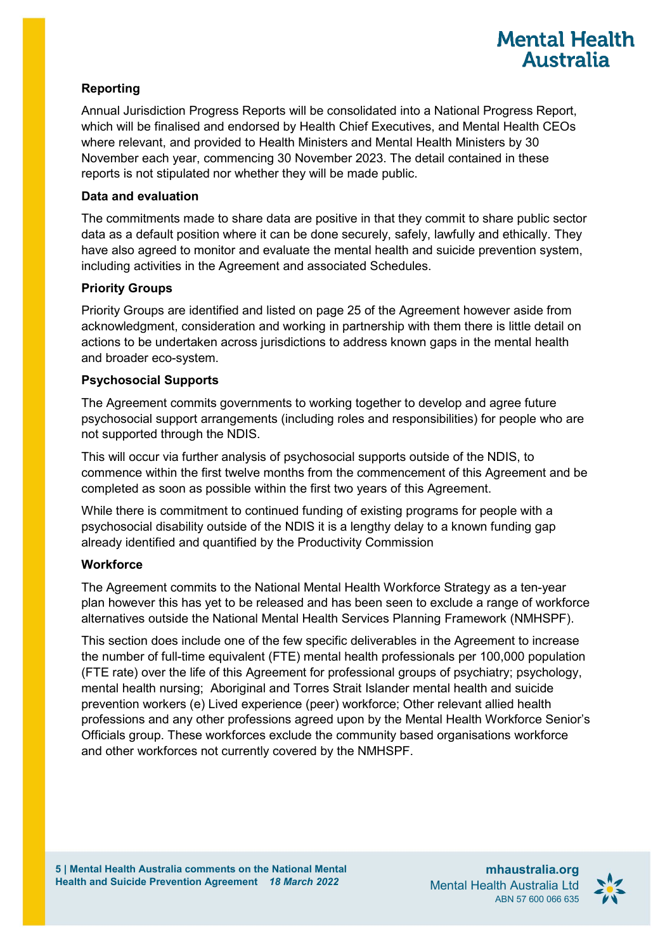# **Mental Health Australia**

# **Reporting**

Annual Jurisdiction Progress Reports will be consolidated into a National Progress Report, which will be finalised and endorsed by Health Chief Executives, and Mental Health CEOs where relevant, and provided to Health Ministers and Mental Health Ministers by 30 November each year, commencing 30 November 2023. The detail contained in these reports is not stipulated nor whether they will be made public.

### **Data and evaluation**

The commitments made to share data are positive in that they commit to share public sector data as a default position where it can be done securely, safely, lawfully and ethically. They have also agreed to monitor and evaluate the mental health and suicide prevention system, including activities in the Agreement and associated Schedules.

# **Priority Groups**

Priority Groups are identified and listed on page 25 of the Agreement however aside from acknowledgment, consideration and working in partnership with them there is little detail on actions to be undertaken across jurisdictions to address known gaps in the mental health and broader eco-system.

## **Psychosocial Supports**

The Agreement commits governments to working together to develop and agree future psychosocial support arrangements (including roles and responsibilities) for people who are not supported through the NDIS.

This will occur via further analysis of psychosocial supports outside of the NDIS, to commence within the first twelve months from the commencement of this Agreement and be completed as soon as possible within the first two years of this Agreement.

While there is commitment to continued funding of existing programs for people with a psychosocial disability outside of the NDIS it is a lengthy delay to a known funding gap already identified and quantified by the Productivity Commission

# **Workforce**

The Agreement commits to the National Mental Health Workforce Strategy as a ten-year plan however this has yet to be released and has been seen to exclude a range of workforce alternatives outside the National Mental Health Services Planning Framework (NMHSPF).

This section does include one of the few specific deliverables in the Agreement to increase the number of full-time equivalent (FTE) mental health professionals per 100,000 population (FTE rate) over the life of this Agreement for professional groups of psychiatry; psychology, mental health nursing; Aboriginal and Torres Strait Islander mental health and suicide prevention workers (e) Lived experience (peer) workforce; Other relevant allied health professions and any other professions agreed upon by the Mental Health Workforce Senior's Officials group. These workforces exclude the community based organisations workforce and other workforces not currently covered by the NMHSPF.

**mhaustralia.org** Mental Health Australia Ltd ABN 57 600 066 635